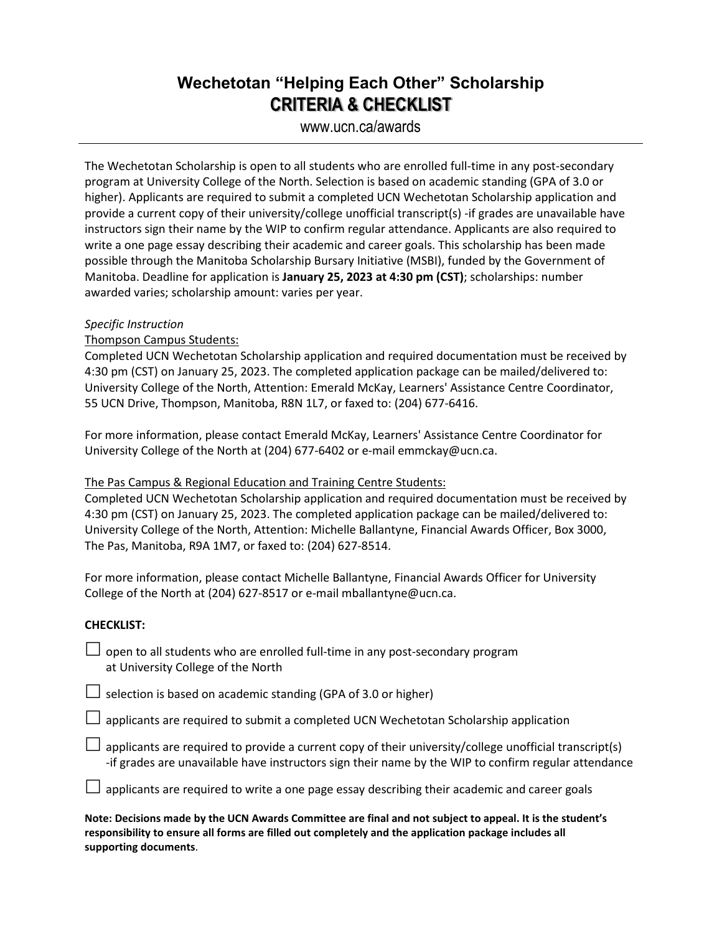## **Wechetotan "Helping Each Other" Scholarship CRITERIA & CHECKLIST**

### www.ucn.ca/awards

The Wechetotan Scholarship is open to all students who are enrolled full-time in any post-secondary program at University College of the North. Selection is based on academic standing (GPA of 3.0 or higher). Applicants are required to submit a completed UCN Wechetotan Scholarship application and provide a current copy of their university/college unofficial transcript(s) -if grades are unavailable have instructors sign their name by the WIP to confirm regular attendance. Applicants are also required to write a one page essay describing their academic and career goals. This scholarship has been made possible through the Manitoba Scholarship Bursary Initiative (MSBI), funded by the Government of Manitoba. Deadline for application is **January 25, 2023 at 4:30 pm (CST)**; scholarships: number awarded varies; scholarship amount: varies per year.

#### *Specific Instruction*

#### Thompson Campus Students:

Completed UCN Wechetotan Scholarship application and required documentation must be received by 4:30 pm (CST) on January 25, 2023. The completed application package can be mailed/delivered to: University College of the North, Attention: Emerald McKay, Learners' Assistance Centre Coordinator, 55 UCN Drive, Thompson, Manitoba, R8N 1L7, or faxed to: (204) 677-6416.

For more information, please contact Emerald McKay, Learners' Assistance Centre Coordinator for University College of the North at (204) 677-6402 or e-mail emmckay@ucn.ca.

#### The Pas Campus & Regional Education and Training Centre Students:

Completed UCN Wechetotan Scholarship application and required documentation must be received by 4:30 pm (CST) on January 25, 2023. The completed application package can be mailed/delivered to: University College of the North, Attention: Michelle Ballantyne, Financial Awards Officer, Box 3000, The Pas, Manitoba, R9A 1M7, or faxed to: (204) 627-8514.

For more information, please contact Michelle Ballantyne, Financial Awards Officer for University College of the North at (204) 627-8517 or e-mail mballantyne@ucn.ca.

#### **CHECKLIST:**

 $\Box$  open to all students who are enrolled full-time in any post-secondary program at University College of the North

 $\Box$  selection is based on academic standing (GPA of 3.0 or higher)

 $\Box$  applicants are required to submit a completed UCN Wechetotan Scholarship application

 $\Box$  applicants are required to provide a current copy of their university/college unofficial transcript(s) -if grades are unavailable have instructors sign their name by the WIP to confirm regular attendance

 $\Box$  applicants are required to write a one page essay describing their academic and career goals

**Note: Decisions made by the UCN Awards Committee are final and not subject to appeal. It is the student's responsibility to ensure all forms are filled out completely and the application package includes all supporting documents**.